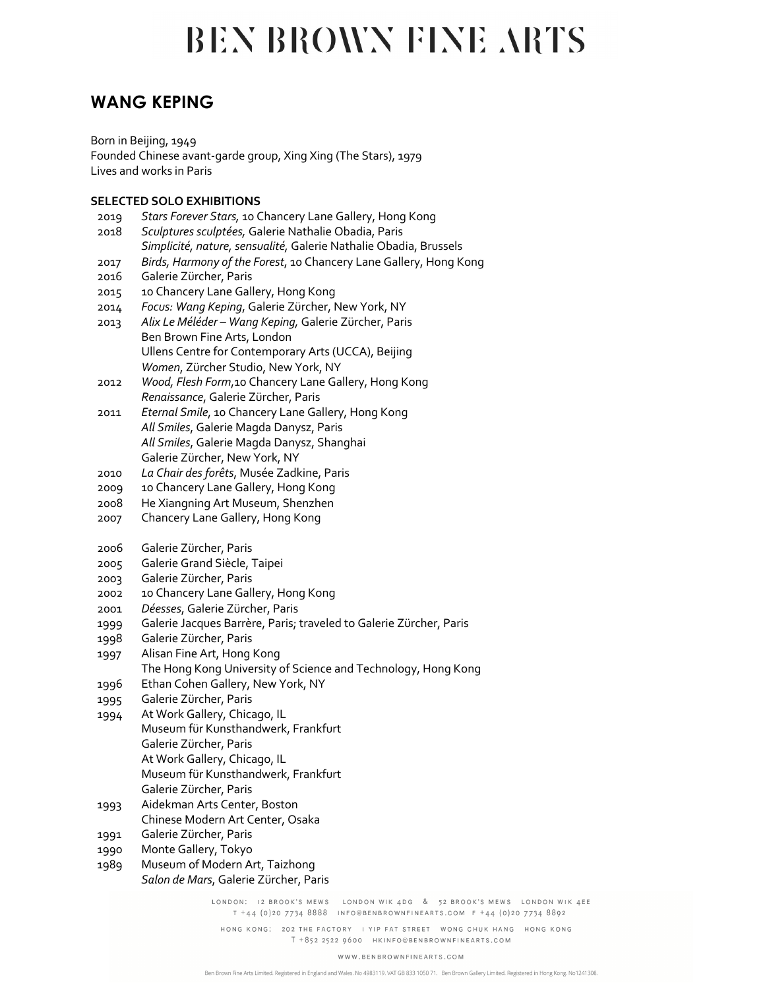### **WANG KEPING**

Born in Beijing, 1949 Founded Chinese avant-garde group, Xing Xing (The Stars), 1979 Lives and works in Paris

### **SELECTED SOLO EXHIBITIONS**

- 2019 *Stars Forever Stars,* 10 Chancery Lane Gallery, Hong Kong 2018 *Sculptures sculptées,* Galerie Nathalie Obadia, Paris *Simplicité, nature, sensualité,* Galerie Nathalie Obadia, Brussels 2017 *Birds, Harmony of the Forest*, 10 Chancery Lane Gallery, Hong Kong 2016 Galerie Zürcher, Paris 2015 10 Chancery Lane Gallery, Hong Kong 2014 *Focus: Wang Keping*, Galerie Zürcher, New York, NY 2013 *Alix Le Méléder – Wang Keping,* Galerie Zürcher, Paris Ben Brown Fine Arts, London Ullens Centre for Contemporary Arts (UCCA), Beijing *Women*, Zürcher Studio, New York, NY 2012 *Wood, Flesh Form*,10 Chancery Lane Gallery, Hong Kong *Renaissance*, Galerie Zürcher, Paris 2011 *Eternal Smile*, 10 Chancery Lane Gallery, Hong Kong *All Smiles*, Galerie Magda Danysz, Paris *All Smiles*, Galerie Magda Danysz, Shanghai Galerie Zürcher, New York, NY 2010 *La Chair des forêts*, Musée Zadkine, Paris 2009 10 Chancery Lane Gallery, Hong Kong 2008 He Xiangning Art Museum, Shenzhen 2007 Chancery Lane Gallery, Hong Kong 2006 Galerie Zürcher, Paris 2005 Galerie Grand Siècle, Taipei 2003 Galerie Zürcher, Paris 2002 10 Chancery Lane Gallery, Hong Kong 2001 *Déesses*, Galerie Zürcher, Paris 1999 Galerie Jacques Barrère, Paris; traveled to Galerie Zürcher, Paris 1998 Galerie Zürcher, Paris 1997 Alisan Fine Art, Hong Kong The Hong Kong University of Science and Technology, Hong Kong 1996 Ethan Cohen Gallery, New York, NY 1995 Galerie Zürcher, Paris 1994 At Work Gallery, Chicago, IL Museum für Kunsthandwerk, Frankfurt Galerie Zürcher, Paris At Work Gallery, Chicago, IL Museum für Kunsthandwerk, Frankfurt Galerie Zürcher, Paris 1993 Aidekman Arts Center, Boston Chinese Modern Art Center, Osaka 1991 Galerie Zürcher, Paris 1990 Monte Gallery, Tokyo
- 1989 Museum of Modern Art, Taizhong
- *Salon de Mars*, Galerie Zürcher, Paris

LONDON: I2 BROOK'S MEWS LONDON WIK 4DG & 52 BROOK'S MEWS LONDON WIK 4EE T +44 (0)20 7734 8888 INFO@BENBROWNFINEARTS.COM F +44 (0)20 7734 8892

HONG KONG: 202 THE FACTORY I YIP FAT STREET WONG CHUK HANG HONG KONG T +852 2522 0600 HKINFO@BENBROWNFINEARTS.COM

#### WWW.BENBROWNFINEARTS.COM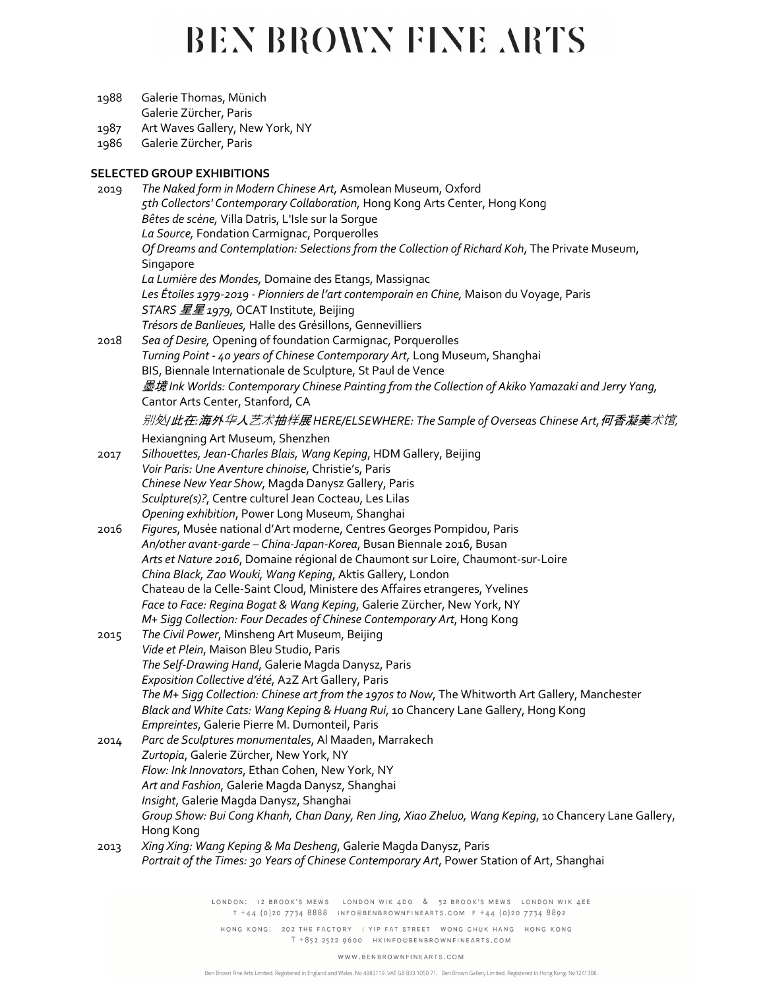- 1988 Galerie Thomas, Münich
	- Galerie Zürcher, Paris
- 1987 Art Waves Gallery, New York, NY
- 1986 Galerie Zürcher, Paris

### **SELECTED GROUP EXHIBITIONS**

| 2019 | The Naked form in Modern Chinese Art, Asmolean Museum, Oxford                                                                          |
|------|----------------------------------------------------------------------------------------------------------------------------------------|
|      | 5th Collectors' Contemporary Collaboration, Hong Kong Arts Center, Hong Kong                                                           |
|      | Bêtes de scène, Villa Datris, L'Isle sur la Sorgue                                                                                     |
|      | La Source, Fondation Carmignac, Porquerolles                                                                                           |
|      | Of Dreams and Contemplation: Selections from the Collection of Richard Koh, The Private Museum,<br>Singapore                           |
|      | La Lumière des Mondes, Domaine des Etangs, Massignac                                                                                   |
|      | Les Étoiles 1979-2019 - Pionniers de l'art contemporain en Chine, Maison du Voyage, Paris                                              |
|      | STARS 星星 1979, OCAT Institute, Beijing                                                                                                 |
|      | Trésors de Banlieues, Halle des Grésillons, Gennevilliers                                                                              |
| 2018 | Sea of Desire, Opening of foundation Carmignac, Porquerolles                                                                           |
|      | Turning Point - 40 years of Chinese Contemporary Art, Long Museum, Shanghai                                                            |
|      | BIS, Biennale Internationale de Sculpture, St Paul de Vence                                                                            |
|      | 墨境 Ink Worlds: Contemporary Chinese Painting from the Collection of Akiko Yamazaki and Jerry Yang,<br>Cantor Arts Center, Stanford, CA |
|      | 别处J此在:海外华人艺术抽样展HERE/ELSEWHERE: The Sample of Overseas Chinese Art, 何香凝美术馆,                                                             |
|      | Hexiangning Art Museum, Shenzhen                                                                                                       |
| 2017 | Silhovettes, Jean-Charles Blais, Wang Keping, HDM Gallery, Beijing                                                                     |
|      | Voir Paris: Une Aventure chinoise, Christie's, Paris                                                                                   |
|      | Chinese New Year Show, Magda Danysz Gallery, Paris                                                                                     |
|      | Sculpture(s)?, Centre culturel Jean Cocteau, Les Lilas                                                                                 |
|      | Opening exhibition, Power Long Museum, Shanghai                                                                                        |
| 2016 | Figures, Musée national d'Art moderne, Centres Georges Pompidou, Paris                                                                 |
|      | An/other avant-garde - China-Japan-Korea, Busan Biennale 2016, Busan                                                                   |
|      | Arts et Nature 2016, Domaine régional de Chaumont sur Loire, Chaumont-sur-Loire                                                        |
|      | China Black, Zao Wouki, Wang Keping, Aktis Gallery, London                                                                             |
|      | Chateau de la Celle-Saint Cloud, Ministere des Affaires etrangeres, Yvelines                                                           |
|      | Face to Face: Regina Bogat & Wang Keping, Galerie Zürcher, New York, NY                                                                |
|      | M+ Sigg Collection: Four Decades of Chinese Contemporary Art, Hong Kong                                                                |
| 2015 | The Civil Power, Minsheng Art Museum, Beijing                                                                                          |
|      | Vide et Plein, Maison Bleu Studio, Paris<br>The Self-Drawing Hand, Galerie Magda Danysz, Paris                                         |
|      | Exposition Collective d'été, A2Z Art Gallery, Paris                                                                                    |
|      | The M+ Sigg Collection: Chinese art from the 1970s to Now, The Whitworth Art Gallery, Manchester                                       |
|      | Black and White Cats: Wang Keping & Huang Rui, 10 Chancery Lane Gallery, Hong Kong                                                     |
|      | Empreintes, Galerie Pierre M. Dumonteil, Paris                                                                                         |
| 2014 | Parc de Sculptures monumentales, Al Maaden, Marrakech                                                                                  |
|      | Zurtopia, Galerie Zürcher, New York, NY                                                                                                |
|      | Flow: Ink Innovators, Ethan Cohen, New York, NY                                                                                        |
|      | Art and Fashion, Galerie Magda Danysz, Shanghai                                                                                        |
|      | Insight, Galerie Magda Danysz, Shanghai                                                                                                |
|      | Group Show: Bui Cong Khanh, Chan Dany, Ren Jing, Xiao Zheluo, Wang Keping, 10 Chancery Lane Gallery,                                   |
|      | Hong Kong                                                                                                                              |
| 2013 | Xing Xing: Wang Keping & Ma Desheng, Galerie Magda Danysz, Paris                                                                       |
|      | Portrait of the Times: 30 Years of Chinese Contemporary Art, Power Station of Art, Shanghai                                            |

LONDON: 12 BROOK'S MEWS LONDON WIK 4DG & 52 BROOK'S MEWS LONDON WIK 4EE  $T$  +44 (0)20 7734 8888 INFO@BENBROWNFINEARTS.COM F +44 (0)20 7734 8892

HONG KONG: 202 THE FACTORY I YIP FAT STREET WONG CHUK HANG HONG KONG T +852 2522 9600 HKINFO@BENBROWNFINEARTS.COM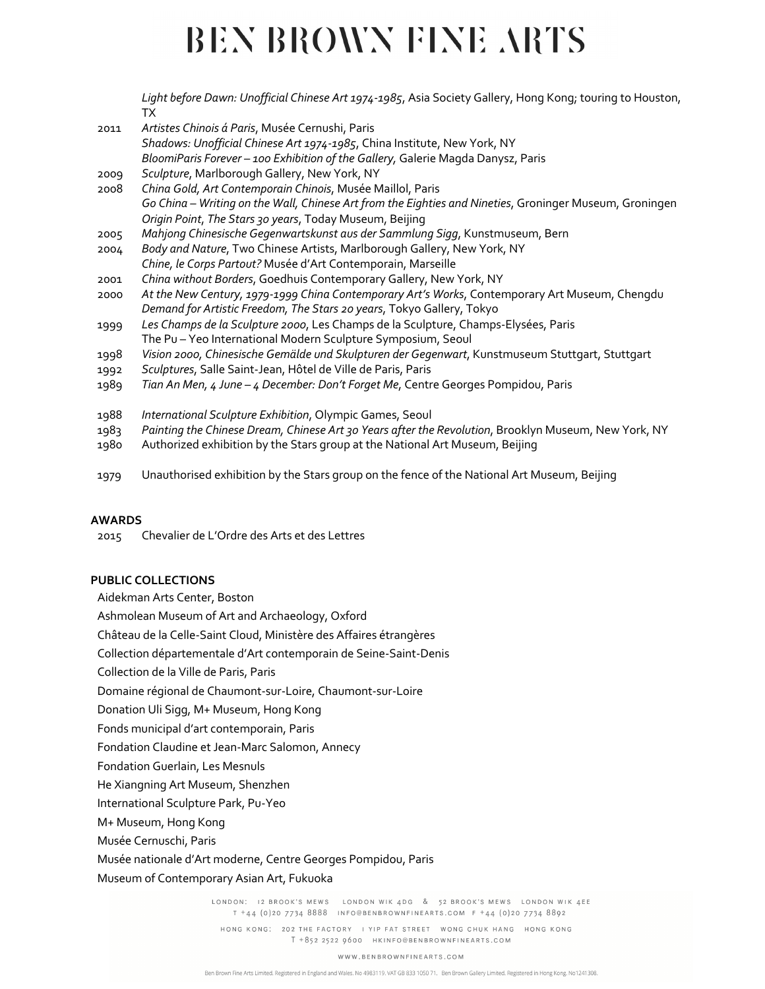*Light before Dawn: Unofficial Chinese Art 1974-1985*, Asia Society Gallery, Hong Kong; touring to Houston, TX

- 2011 *Artistes Chinois á Paris*, Musée Cernushi, Paris *Shadows: Unofficial Chinese Art 1974-1985*, China Institute, New York, NY *BloomiParis Forever – 100 Exhibition of the Gallery,* Galerie Magda Danysz, Paris
- 2009 *Sculpture*, Marlborough Gallery, New York, NY
- 2008 *China Gold, Art Contemporain Chinois*, Musée Maillol, Paris *Go China – Writing on the Wall, Chinese Art from the Eighties and Nineties*, Groninger Museum, Groningen *Origin Point*, *The Stars 30 years*, Today Museum, Beijing
- 2005 *Mahjong Chinesische Gegenwartskunst aus der Sammlung Sigg*, Kunstmuseum, Bern
- 2004 *Body and Nature*, Two Chinese Artists, Marlborough Gallery, New York, NY *Chine, le Corps Partout?* Musée d'Art Contemporain, Marseille
- 2001 *China without Borders*, Goedhuis Contemporary Gallery, New York, NY
- 2000 *At the New Century, 1979-1999 China Contemporary Art's Works*, Contemporary Art Museum, Chengdu *Demand for Artistic Freedom, The Stars 20 years*, Tokyo Gallery, Tokyo
- 1999 *Les Champs de la Sculpture 2000*, Les Champs de la Sculpture, Champs-Elysées, Paris The Pu – Yeo International Modern Sculpture Symposium, Seoul
- 1998 *Vision 2000, Chinesische Gemälde und Skulpturen der Gegenwart*, Kunstmuseum Stuttgart, Stuttgart
- 1992 *Sculptures*, Salle Saint-Jean, Hôtel de Ville de Paris, Paris
- 1989 *Tian An Men, 4 June – 4 December: Don't Forget Me*, Centre Georges Pompidou, Paris
- 1988 *International Sculpture Exhibition*, Olympic Games, Seoul
- 1983 *Painting the Chinese Dream, Chinese Art 30 Years after the Revolution*, Brooklyn Museum, New York, NY
- 1980 Authorized exhibition by the Stars group at the National Art Museum, Beijing
- 1979 Unauthorised exhibition by the Stars group on the fence of the National Art Museum, Beijing

#### **AWARDS**

2015 Chevalier de L'Ordre des Arts et des Lettres

#### **PUBLIC COLLECTIONS**

Aidekman Arts Center, Boston

Ashmolean Museum of Art and Archaeology, Oxford

Château de la Celle-Saint Cloud, Ministère des Affaires étrangères

Collection départementale d'Art contemporain de Seine-Saint-Denis

Collection de la Ville de Paris, Paris

Domaine régional de Chaumont-sur-Loire, Chaumont-sur-Loire

Donation Uli Sigg, M+ Museum, Hong Kong

Fonds municipal d'art contemporain, Paris

Fondation Claudine et Jean-Marc Salomon, Annecy

Fondation Guerlain, Les Mesnuls

He Xiangning Art Museum, Shenzhen

International Sculpture Park, Pu-Yeo

M+ Museum, Hong Kong

Musée Cernuschi, Paris

Musée nationale d'Art moderne, Centre Georges Pompidou, Paris

Museum of Contemporary Asian Art, Fukuoka

LONDON: I2 BROOK'S MEWS LONDON WIK 4DG & 52 BROOK'S MEWS LONDON WIK 4EE T +44 (0)20 7734 8888 INFO@BENBROWNFINEARTS.COM F +44 (0)20 7734 8892

HONG KONG: 202 THE FACTORY I YIP FAT STREET WONG CHUK HANG HONG KONG T +852 2522 0600 HKINFO@BENBROWNFINEARTS.COM

#### WWW.BENBROWNFINEARTS.COM